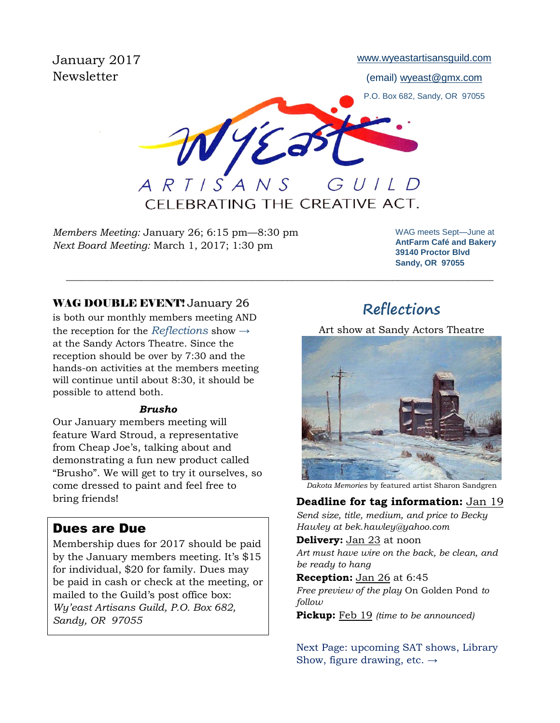January 2017 Newsletter

[www.wyeastartisansguild.com](http://www.wyeastartisansguild.com/)

(email) wyeast@gmx.com

P.O. Box 682, Sandy, OR 97055

WYE GUILD ARTISANS

CFLEBRATING THE CREATIVE ACT.

\_\_\_\_\_\_\_\_\_\_\_\_\_\_\_\_\_\_\_\_\_\_\_\_\_\_\_\_\_\_\_\_\_\_\_\_\_\_\_\_\_\_\_\_\_\_\_\_\_\_\_\_\_\_\_\_\_\_\_\_\_\_\_\_\_\_\_\_\_\_\_\_\_\_\_\_\_\_\_\_\_\_\_\_\_

*Members Meeting:* January 26; 6:15 pm—8:30 pm *Next Board Meeting:* March 1, 2017; 1:30 pm

WAG meets Sept—June at **AntFarm Café and Bakery 39140 Proctor Blvd Sandy, OR 97055**

#### WAG DOUBLE EVENT! January 26

is both our monthly members meeting AND the reception for the *Reflections* show *→* at the Sandy Actors Theatre. Since the reception should be over by 7:30 and the hands-on activities at the members meeting will continue until about 8:30, it should be possible to attend both.

#### *Brusho*

Our January members meeting will feature Ward Stroud, a representative from Cheap Joe's, talking about and demonstrating a fun new product called "Brusho". We will get to try it ourselves, so come dressed to paint and feel free to bring friends!

### Dues are Due

Membership dues for 2017 should be paid by the January members meeting. It's \$15 for individual, \$20 for family. Dues may be paid in cash or check at the meeting, or mailed to the Guild's post office box: *Wy'east Artisans Guild, P.O. Box 682, Sandy, OR 97055*

# **Reflections**

Art show at Sandy Actors Theatre



*Dakota Memories* by featured artist Sharon Sandgren

### **Deadline for tag information:** Jan 19

*Send size, title, medium, and price to Becky Hawley at bek.hawley@yahoo.com*

**Delivery:** Jan 23 at noon *Art must have wire on the back, be clean, and be ready to hang*

**Reception:** Jan 26 at 6:45 *Free preview of the play* On Golden Pond *to follow*

**Pickup:** Feb 19 *(time to be announced)* 

Next Page: upcoming SAT shows, Library Show, figure drawing, etc.  $\rightarrow$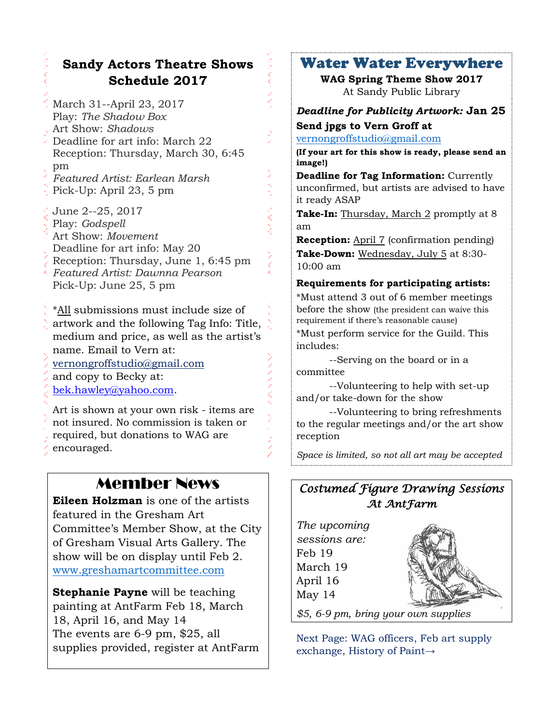## **Sandy Actors Theatre Shows Schedule 2017**

- March 31--April 23, 2017 Play: *The Shadow Box* Art Show: *Shadows* Deadline for art info: March 22 Reception: Thursday, March 30, 6:45 pm *Featured Artist: Earlean Marsh*
- Pick-Up: April 23, 5 pm
- June 2--25, 2017
- Play: *Godspell*
- Art Show: *Movement*
- Deadline for art info: May 20
- Reception: Thursday, June 1, 6:45 pm
- *Featured Artist: Dawnna Pearson* Pick-Up: June 25, 5 pm

\*All submissions must include size of artwork and the following Tag Info: Title, medium and price, as well as the artist's name. Email to Vern at: [vernongroffstudio@gmail.com](mailto:Vernongroffstudio@gmail.com)

and copy to Becky at:

[bek.hawley@yahoo.com.](mailto:bek.hawley@yahoo.com)

Art is shown at your own risk - items are not insured. No commission is taken or required, but donations to WAG are encouraged.

# Member News

**Eileen Holzman** is one of the artists featured in the Gresham Art Committee's Member Show, at the City of Gresham Visual Arts Gallery. The show will be on display until Feb 2. [www.greshamartcommittee.com](http://www.greshamartcommittee.com/)

**Stephanie Payne** will be teaching painting at AntFarm Feb 18, March 18, April 16, and May 14 The events are 6-9 pm, \$25, all supplies provided, register at AntFarm

## Water Water Everywhere

**WAG Spring Theme Show 2017** At Sandy Public Library

### *Deadline for Publicity Artwork:* **Jan 25 Send jpgs to Vern Groff at**

[vernongroffstudio@gmail.com](mailto:vernongroffstudio@gmail.com)

 $\sum_{i=1}^{N}$  $\frac{1}{2}$ 

スペスト

**(If your art for this show is ready, please send an image!)**

**Deadline for Tag Information:** Currently unconfirmed, but artists are advised to have it ready ASAP

**Take-In:** Thursday, March 2 promptly at 8 am

**Reception:** April 7 (confirmation pending) **Take-Down:** Wednesday, July 5 at 8:30- 10:00 am

## **Requirements for participating artists:**

\*Must attend 3 out of 6 member meetings before the show (the president can waive this requirement if there's reasonable cause) \*Must perform service for the Guild. This includes:

--Serving on the board or in a committee

--Volunteering to help with set-up and/or take-down for the show

--Volunteering to bring refreshments to the regular meetings and/or the art show reception

*Space is limited, so not all art may be accepted*

## *Costumed Figure Drawing Sessions At AntFarm*

| The upcoming  |  |
|---------------|--|
| sessions are: |  |
| Feb 19        |  |
| March 19      |  |
| April 16      |  |
| May 14        |  |
|               |  |

*\$5, 6-9 pm, bring your own supplies*

Next Page: WAG officers, Feb art supply exchange, History of Paint→